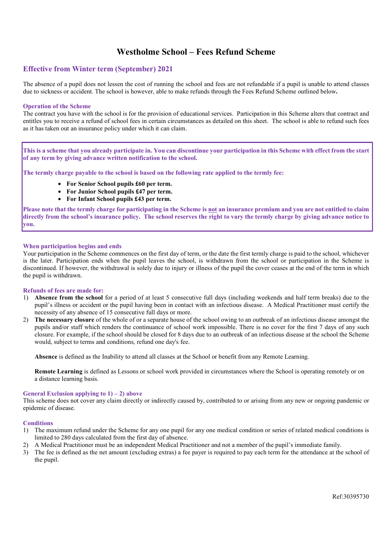# Westholme School – Fees Refund Scheme

# Effective from Winter term (September) 2021

The absence of a pupil does not lessen the cost of running the school and fees are not refundable if a pupil is unable to attend classes due to sickness or accident. The school is however, able to make refunds through the Fees Refund Scheme outlined below.

# Operation of the Scheme

The contract you have with the school is for the provision of educational services. Participation in this Scheme alters that contract and entitles you to receive a refund of school fees in certain circumstances as detailed on this sheet. The school is able to refund such fees as it has taken out an insurance policy under which it can claim.

This is a scheme that you already participate in. You can discontinue your participation in this Scheme with effect from the start of any term by giving advance written notification to the school.

The termly charge payable to the school is based on the following rate applied to the termly fee:

- **For Senior School pupils £60 per term.**
- **For Junior School pupils £47 per term.**
- **For Infant School pupils £43 per term.**

Please note that the termly charge for participating in the Scheme is not an insurance premium and you are not entitled to claim directly from the school's insurance policy. The school reserves the right to vary the termly charge by giving advance notice to you.

# When participation begins and ends

Your participation in the Scheme commences on the first day of term, or the date the first termly charge is paid to the school, whichever is the later. Participation ends when the pupil leaves the school, is withdrawn from the school or participation in the Scheme is discontinued. If however, the withdrawal is solely due to injury or illness of the pupil the cover ceases at the end of the term in which the pupil is withdrawn.

#### Refunds of fees are made for:

- 1) Absence from the school for a period of at least 5 consecutive full days (including weekends and half term breaks) due to the pupil's illness or accident or the pupil having been in contact with an infectious disease. A Medical Practitioner must certify the necessity of any absence of 15 consecutive full days or more.
- 2) The necessary closure of the whole of or a separate house of the school owing to an outbreak of an infectious disease amongst the pupils and/or staff which renders the continuance of school work impossible. There is no cover for the first 7 days of any such closure. For example, if the school should be closed for 8 days due to an outbreak of an infectious disease at the school the Scheme would, subject to terms and conditions, refund one day's fee.

Absence is defined as the Inability to attend all classes at the School or benefit from any Remote Learning.

Remote Learning is defined as Lessons or school work provided in circumstances where the School is operating remotely or on a distance learning basis.

#### General Exclusion applying to  $1$ ) – 2) above

This scheme does not cover any claim directly or indirectly caused by, contributed to or arising from any new or ongoing pandemic or epidemic of disease.

#### **Conditions**

- 1) The maximum refund under the Scheme for any one pupil for any one medical condition or series of related medical conditions is limited to 280 days calculated from the first day of absence.
- 2) A Medical Practitioner must be an independent Medical Practitioner and not a member of the pupil's immediate family.
- 3) The fee is defined as the net amount (excluding extras) a fee payer is required to pay each term for the attendance at the school of the pupil.